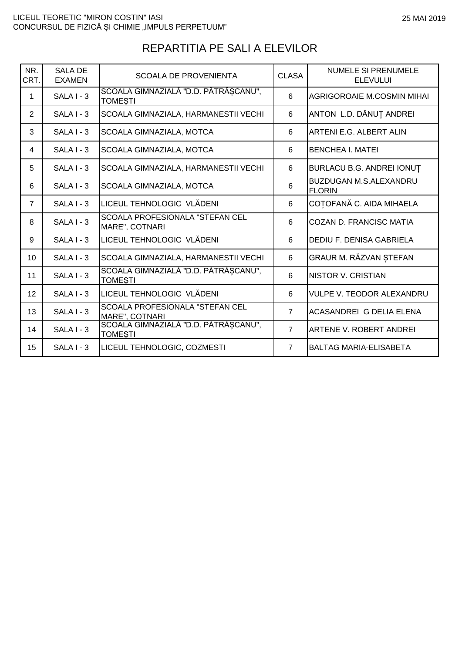| NR.<br>CRT.    | <b>SALA DE</b><br><b>EXAMEN</b> | <b>SCOALA DE PROVENIENTA</b>                             | <b>CLASA</b>   | <b>NUMELE SI PRENUMELE</b><br><b>ELEVULUI</b>  |
|----------------|---------------------------------|----------------------------------------------------------|----------------|------------------------------------------------|
| 1              | SALA I - 3                      | SCOALA GIMNAZIALĂ "D.D. PĂTRĂȘCANU",<br><b>TOMESTI</b>   | 6              | <b>AGRIGOROAIE M.COSMIN MIHAI</b>              |
| $\overline{2}$ | $SALAI - 3$                     | SCOALA GIMNAZIALA, HARMANESTII VECHI                     | 6              | ANTON L.D. DĂNUȚ ANDREI                        |
| 3              | SALA I - 3                      | SCOALA GIMNAZIALA, MOTCA                                 | 6              | ARTENI E.G. ALBERT ALIN                        |
| 4              | $SALA I - 3$                    | SCOALA GIMNAZIALA, MOTCA                                 | 6              | <b>BENCHEA I. MATEI</b>                        |
| 5              | $SALA I - 3$                    | SCOALA GIMNAZIALA, HARMANESTII VECHI                     | 6              | BURLACU B.G. ANDREI IONUȚ                      |
| 6              | $SALA I - 3$                    | SCOALA GIMNAZIALA, MOTCA                                 | 6              | <b>BUZDUGAN M.S.ALEXANDRU</b><br><b>FLORIN</b> |
| $\overline{7}$ | $SALAI - 3$                     | LICEUL TEHNOLOGIC VLĂDENI                                | 6              | COȚOFANĂ C. AIDA MIHAELA                       |
| 8              | $SALA I - 3$                    | <b>SCOALA PROFESIONALA "STEFAN CEL</b><br>MARE", COTNARI | 6              | COZAN D. FRANCISC MATIA                        |
| 9              | $SALAI - 3$                     | LICEUL TEHNOLOGIC VLĂDENI                                | 6              | DEDIU F. DENISA GABRIELA                       |
| 10             | SALA I - 3                      | SCOALA GIMNAZIALA, HARMANESTII VECHI                     | 6              | GRAUR M. RĂZVAN ȘTEFAN                         |
| 11             | $SALA I - 3$                    | SCOALA GIMNAZIALĂ "D.D. PĂTRĂȘCANU",<br><b>TOMESTI</b>   | 6              | <b>NISTOR V. CRISTIAN</b>                      |
| 12             | $SALA I - 3$                    | LICEUL TEHNOLOGIC VLĂDENI                                | 6              | <b>VULPE V. TEODOR ALEXANDRU</b>               |
| 13             | $SALA I - 3$                    | <b>SCOALA PROFESIONALA "STEFAN CEL</b><br>MARE", COTNARI | $\overline{7}$ | ACASANDREI G DELIA ELENA                       |
| 14             | SALA I - 3                      | SCOALA GIMNAZIALĂ "D.D. PĂTRĂȘCANU",<br><b>TOMESTI</b>   | $\overline{7}$ | ARTENE V. ROBERT ANDREI                        |
| 15             | SALA I - 3                      | LICEUL TEHNOLOGIC, COZMESTI                              | $\overline{7}$ | <b>BALTAG MARIA-ELISABETA</b>                  |

## REPARTITIA PE SALI A ELEVILOR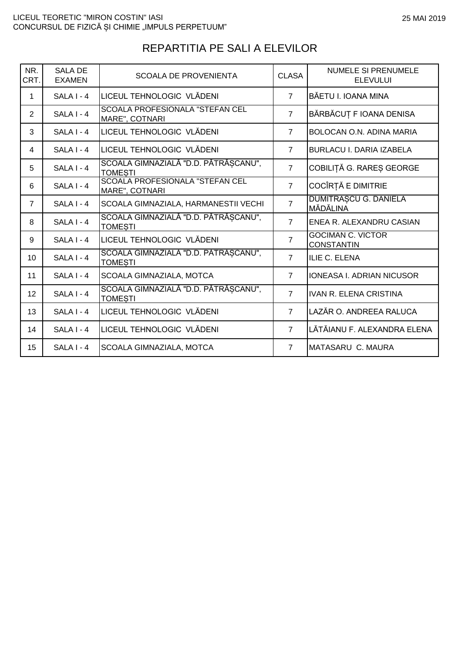| NR.<br>CRT.    | <b>SALA DE</b><br><b>EXAMEN</b> | <b>SCOALA DE PROVENIENTA</b>                             | <b>CLASA</b>   | <b>NUMELE SI PRENUMELE</b><br><b>ELEVULUI</b> |
|----------------|---------------------------------|----------------------------------------------------------|----------------|-----------------------------------------------|
| 1              | SALA I - 4                      | LICEUL TEHNOLOGIC VLĂDENI                                | $\overline{7}$ | BĂETU I. IOANA MINA                           |
| 2              | $SALAI - 4$                     | <b>SCOALA PROFESIONALA "STEFAN CEL</b><br>MARE", COTNARI | $\overline{7}$ | BĂRBĂCUȚ F IOANA DENISA                       |
| 3              | $SALA I - 4$                    | LICEUL TEHNOLOGIC VLĂDENI                                | $\overline{7}$ | BOLOCAN O.N. ADINA MARIA                      |
| 4              | SALA I - 4                      | Iliceul tehnologic vlădeni                               | $\overline{7}$ | <b>BURLACU I. DARIA IZABELA</b>               |
| 5              | $SALAI - 4$                     | SCOALA GIMNAZIALĂ "D.D. PĂTRĂȘCANU",<br><b>TOMESTI</b>   | $\overline{7}$ | COBILIȚĂ G. RAREȘ GEORGE                      |
| 6              | SALA I - 4                      | SCOALA PROFESIONALA "STEFAN CEL<br>MARE", COTNARI        | $\overline{7}$ | COCÎRȚĂ E DIMITRIE                            |
| $\overline{7}$ | $SALA I - 4$                    | SCOALA GIMNAZIALA, HARMANESTII VECHI                     | $\overline{7}$ | <b>DUMITRASCU G. DANIELA</b><br>MĂDĂLINA      |
| 8              | SALA I - 4                      | SCOALA GIMNAZIALĂ "D.D. PĂTRĂȘCANU",<br><b>TOMESTI</b>   | $\overline{7}$ | ENEA R. ALEXANDRU CASIAN                      |
| 9              | SALA I - 4                      | LICEUL TEHNOLOGIC VLĂDENI                                | $\overline{7}$ | <b>GOCIMAN C. VICTOR</b><br><b>CONSTANTIN</b> |
| 10             | SALA I - 4                      | SCOALA GIMNAZIALĂ "D.D. PĂTRĂȘCANU",<br><b>TOMESTI</b>   | $\overline{7}$ | <b>ILIE C. ELENA</b>                          |
| 11             | SALA I - 4                      | SCOALA GIMNAZIALA, MOTCA                                 | $\overline{7}$ | IONEASA I. ADRIAN NICUSOR                     |
| 12             | SALA I - 4                      | SCOALA GIMNAZIALĂ "D.D. PĂTRĂȘCANU",<br><b>TOMESTI</b>   | $\overline{7}$ | <b>IVAN R. ELENA CRISTINA</b>                 |
| 13             | $SALA I - 4$                    | LICEUL TEHNOLOGIC VLĂDENI                                | $\overline{7}$ | LAZĂR O. ANDREEA RALUCA                       |
| 14             | SALA I - 4                      | LICEUL TEHNOLOGIC VLĂDENI                                | $\overline{7}$ | LĂTĂIANU F. ALEXANDRA ELENA                   |
| 15             | SALA I - 4                      | SCOALA GIMNAZIALA, MOTCA                                 | $\overline{7}$ | <b>MATASARU C. MAURA</b>                      |

## REPARTITIA PE SALI A ELEVILOR